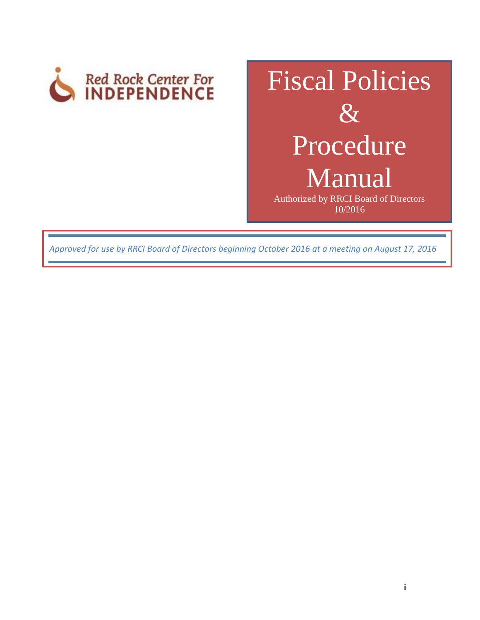

# Fiscal Policies  $\&$ Procedure Manual Authorized by RRCI Board of Directors

10/2016

*Approved for use by RRCI Board of Directors beginning October 2016 at a meeting on August 17, 2016*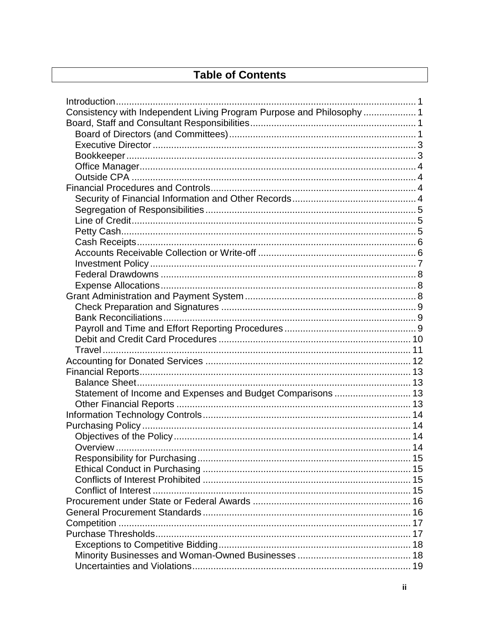# **Table of Contents**

| Consistency with Independent Living Program Purpose and Philosophy  1 |  |
|-----------------------------------------------------------------------|--|
|                                                                       |  |
|                                                                       |  |
|                                                                       |  |
|                                                                       |  |
|                                                                       |  |
|                                                                       |  |
|                                                                       |  |
|                                                                       |  |
|                                                                       |  |
|                                                                       |  |
|                                                                       |  |
|                                                                       |  |
|                                                                       |  |
|                                                                       |  |
|                                                                       |  |
|                                                                       |  |
|                                                                       |  |
|                                                                       |  |
|                                                                       |  |
|                                                                       |  |
|                                                                       |  |
|                                                                       |  |
|                                                                       |  |
|                                                                       |  |
|                                                                       |  |
|                                                                       |  |
| Statement of Income and Expenses and Budget Comparisons  13           |  |
|                                                                       |  |
|                                                                       |  |
|                                                                       |  |
|                                                                       |  |
| Overview                                                              |  |
|                                                                       |  |
|                                                                       |  |
|                                                                       |  |
|                                                                       |  |
|                                                                       |  |
|                                                                       |  |
|                                                                       |  |
|                                                                       |  |
|                                                                       |  |
|                                                                       |  |
|                                                                       |  |
|                                                                       |  |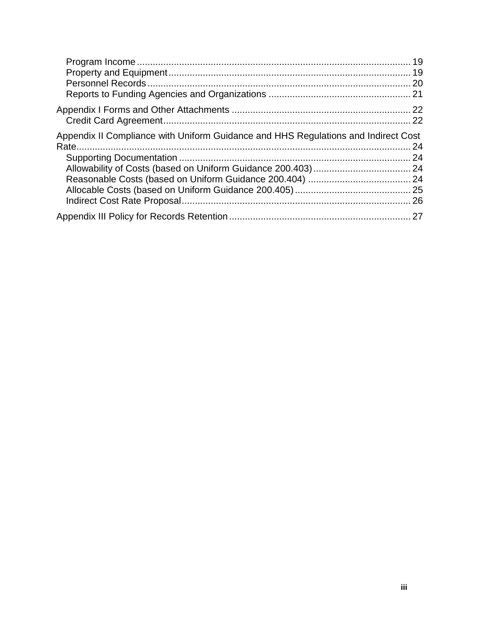| Appendix II Compliance with Uniform Guidance and HHS Regulations and Indirect Cost |  |
|------------------------------------------------------------------------------------|--|
|                                                                                    |  |
|                                                                                    |  |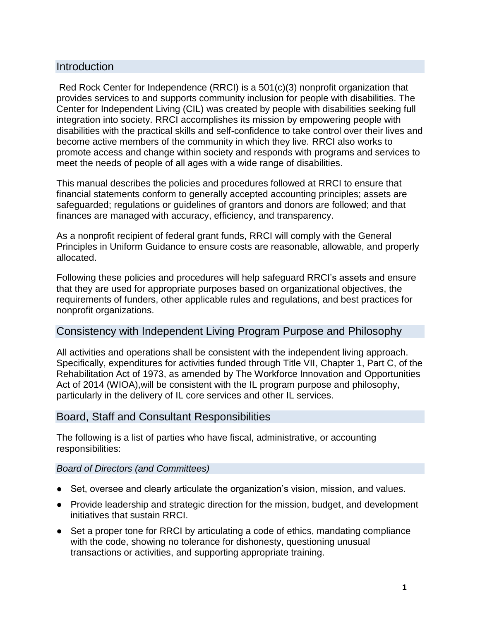# <span id="page-3-0"></span>Introduction

Red Rock Center for Independence (RRCI) is a 501(c)(3) nonprofit organization that provides services to and supports community inclusion for people with disabilities. The Center for Independent Living (CIL) was created by people with disabilities seeking full integration into society. RRCI accomplishes its mission by empowering people with disabilities with the practical skills and self-confidence to take control over their lives and become active members of the community in which they live. RRCI also works to promote access and change within society and responds with programs and services to meet the needs of people of all ages with a wide range of disabilities.

This manual describes the policies and procedures followed at RRCI to ensure that financial statements conform to generally accepted accounting principles; assets are safeguarded; regulations or guidelines of grantors and donors are followed; and that finances are managed with accuracy, efficiency, and transparency.

As a nonprofit recipient of federal grant funds, RRCI will comply with the General Principles in Uniform Guidance to ensure costs are reasonable, allowable, and properly allocated.

Following these policies and procedures will help safeguard RRCI's assets and ensure that they are used for appropriate purposes based on organizational objectives, the requirements of funders, other applicable rules and regulations, and best practices for nonprofit organizations.

# <span id="page-3-1"></span>Consistency with Independent Living Program Purpose and Philosophy

All activities and operations shall be consistent with the independent living approach. Specifically, expenditures for activities funded through Title VII, Chapter 1, Part C, of the Rehabilitation Act of 1973, as amended by The Workforce Innovation and Opportunities Act of 2014 (WIOA),will be consistent with the IL program purpose and philosophy, particularly in the delivery of IL core services and other IL services.

# <span id="page-3-2"></span>Board, Staff and Consultant Responsibilities

The following is a list of parties who have fiscal, administrative, or accounting responsibilities:

#### <span id="page-3-3"></span>*Board of Directors (and Committees)*

- Set, oversee and clearly articulate the organization's vision, mission, and values.
- Provide leadership and strategic direction for the mission, budget, and development initiatives that sustain RRCI.
- Set a proper tone for RRCI by articulating a code of ethics, mandating compliance with the code, showing no tolerance for dishonesty, questioning unusual transactions or activities, and supporting appropriate training.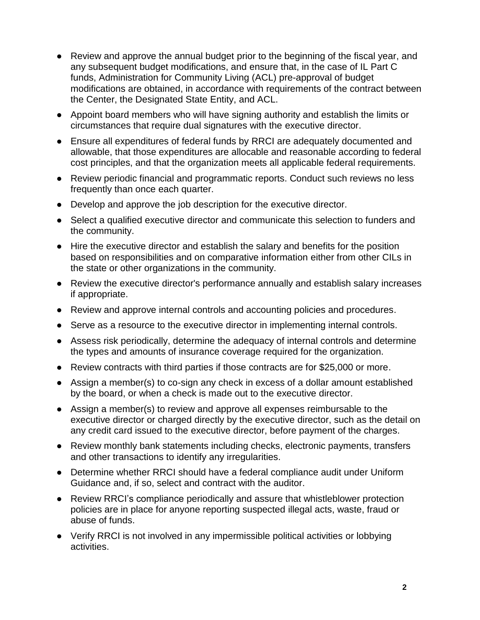- Review and approve the annual budget prior to the beginning of the fiscal year, and any subsequent budget modifications, and ensure that, in the case of IL Part C funds, Administration for Community Living (ACL) pre-approval of budget modifications are obtained, in accordance with requirements of the contract between the Center, the Designated State Entity, and ACL.
- Appoint board members who will have signing authority and establish the limits or circumstances that require dual signatures with the executive director.
- Ensure all expenditures of federal funds by RRCI are adequately documented and allowable, that those expenditures are allocable and reasonable according to federal cost principles, and that the organization meets all applicable federal requirements.
- Review periodic financial and programmatic reports. Conduct such reviews no less frequently than once each quarter.
- Develop and approve the job description for the executive director.
- Select a qualified executive director and communicate this selection to funders and the community.
- Hire the executive director and establish the salary and benefits for the position based on responsibilities and on comparative information either from other CILs in the state or other organizations in the community.
- Review the executive director's performance annually and establish salary increases if appropriate.
- Review and approve internal controls and accounting policies and procedures.
- Serve as a resource to the executive director in implementing internal controls.
- Assess risk periodically, determine the adequacy of internal controls and determine the types and amounts of insurance coverage required for the organization.
- Review contracts with third parties if those contracts are for \$25,000 or more.
- Assign a member(s) to co-sign any check in excess of a dollar amount established by the board, or when a check is made out to the executive director.
- Assign a member(s) to review and approve all expenses reimbursable to the executive director or charged directly by the executive director, such as the detail on any credit card issued to the executive director, before payment of the charges.
- Review monthly bank statements including checks, electronic payments, transfers and other transactions to identify any irregularities.
- Determine whether RRCI should have a federal compliance audit under Uniform Guidance and, if so, select and contract with the auditor.
- Review RRCI's compliance periodically and assure that whistleblower protection policies are in place for anyone reporting suspected illegal acts, waste, fraud or abuse of funds.
- Verify RRCI is not involved in any impermissible political activities or lobbying activities.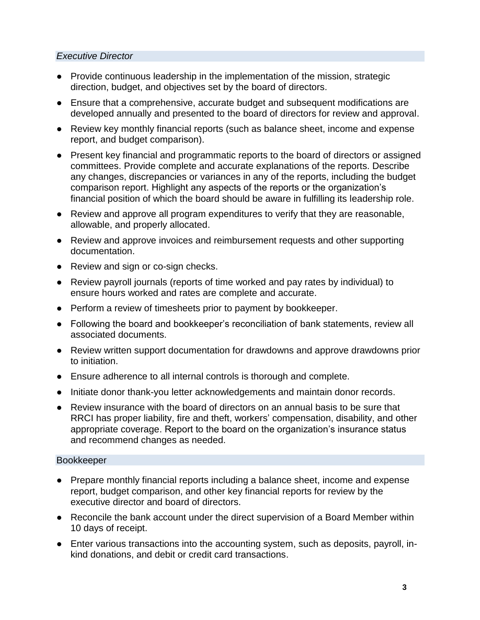#### <span id="page-5-0"></span>*Executive Director*

- Provide continuous leadership in the implementation of the mission, strategic direction, budget, and objectives set by the board of directors.
- Ensure that a comprehensive, accurate budget and subsequent modifications are developed annually and presented to the board of directors for review and approval.
- Review key monthly financial reports (such as balance sheet, income and expense report, and budget comparison).
- Present key financial and programmatic reports to the board of directors or assigned committees. Provide complete and accurate explanations of the reports. Describe any changes, discrepancies or variances in any of the reports, including the budget comparison report. Highlight any aspects of the reports or the organization's financial position of which the board should be aware in fulfilling its leadership role.
- Review and approve all program expenditures to verify that they are reasonable, allowable, and properly allocated.
- Review and approve invoices and reimbursement requests and other supporting documentation.
- Review and sign or co-sign checks.
- Review payroll journals (reports of time worked and pay rates by individual) to ensure hours worked and rates are complete and accurate.
- Perform a review of timesheets prior to payment by bookkeeper.
- Following the board and bookkeeper's reconciliation of bank statements, review all associated documents.
- Review written support documentation for drawdowns and approve drawdowns prior to initiation.
- Ensure adherence to all internal controls is thorough and complete.
- Initiate donor thank-you letter acknowledgements and maintain donor records.
- Review insurance with the board of directors on an annual basis to be sure that RRCI has proper liability, fire and theft, workers' compensation, disability, and other appropriate coverage. Report to the board on the organization's insurance status and recommend changes as needed.

#### <span id="page-5-1"></span>Bookkeeper

- Prepare monthly financial reports including a balance sheet, income and expense report, budget comparison, and other key financial reports for review by the executive director and board of directors.
- Reconcile the bank account under the direct supervision of a Board Member within 10 days of receipt.
- Enter various transactions into the accounting system, such as deposits, payroll, inkind donations, and debit or credit card transactions.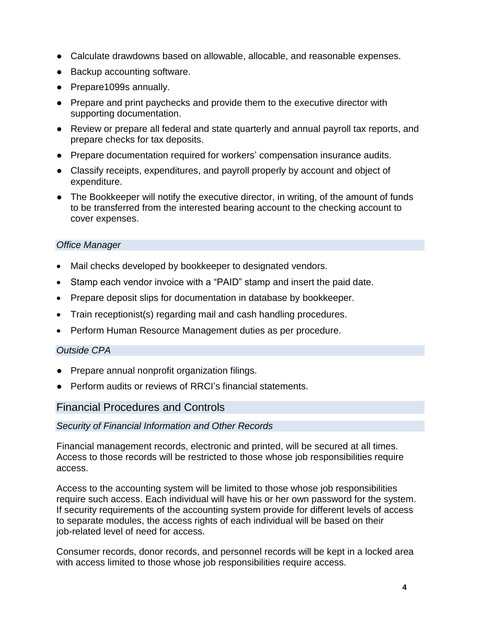- Calculate drawdowns based on allowable, allocable, and reasonable expenses.
- Backup accounting software.
- Prepare1099s annually.
- Prepare and print paychecks and provide them to the executive director with supporting documentation.
- Review or prepare all federal and state quarterly and annual payroll tax reports, and prepare checks for tax deposits.
- Prepare documentation required for workers' compensation insurance audits.
- Classify receipts, expenditures, and payroll properly by account and object of expenditure.
- The Bookkeeper will notify the executive director, in writing, of the amount of funds to be transferred from the interested bearing account to the checking account to cover expenses.

#### <span id="page-6-0"></span>*Office Manager*

- Mail checks developed by bookkeeper to designated vendors.
- Stamp each vendor invoice with a "PAID" stamp and insert the paid date.
- Prepare deposit slips for documentation in database by bookkeeper.
- Train receptionist(s) regarding mail and cash handling procedures.
- <span id="page-6-1"></span>Perform Human Resource Management duties as per procedure.

#### *Outside CPA*

- Prepare annual nonprofit organization filings.
- Perform audits or reviews of RRCI's financial statements.

#### <span id="page-6-2"></span>Financial Procedures and Controls

#### <span id="page-6-3"></span>*Security of Financial Information and Other Records*

Financial management records, electronic and printed, will be secured at all times. Access to those records will be restricted to those whose job responsibilities require access.

Access to the accounting system will be limited to those whose job responsibilities require such access. Each individual will have his or her own password for the system. If security requirements of the accounting system provide for different levels of access to separate modules, the access rights of each individual will be based on their job-related level of need for access.

Consumer records, donor records, and personnel records will be kept in a locked area with access limited to those whose job responsibilities require access.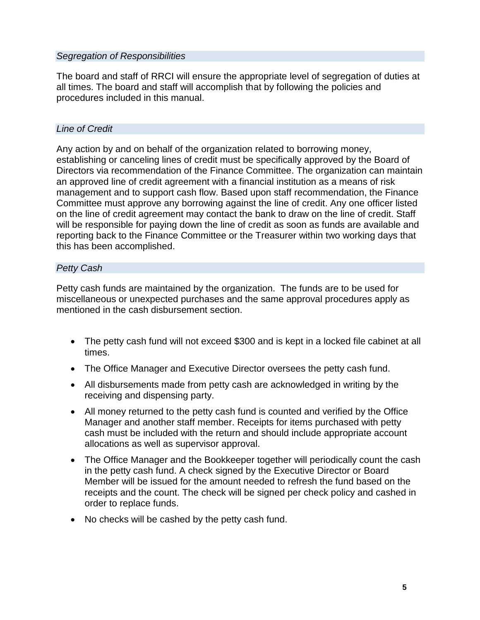#### <span id="page-7-0"></span>*Segregation of Responsibilities*

The board and staff of RRCI will ensure the appropriate level of segregation of duties at all times. The board and staff will accomplish that by following the policies and procedures included in this manual.

#### <span id="page-7-1"></span>*Line of Credit*

Any action by and on behalf of the organization related to borrowing money, establishing or canceling lines of credit must be specifically approved by the Board of Directors via recommendation of the Finance Committee. The organization can maintain an approved line of credit agreement with a financial institution as a means of risk management and to support cash flow. Based upon staff recommendation, the Finance Committee must approve any borrowing against the line of credit. Any one officer listed on the line of credit agreement may contact the bank to draw on the line of credit. Staff will be responsible for paying down the line of credit as soon as funds are available and reporting back to the Finance Committee or the Treasurer within two working days that this has been accomplished.

#### <span id="page-7-2"></span>*Petty Cash*

Petty cash funds are maintained by the organization. The funds are to be used for miscellaneous or unexpected purchases and the same approval procedures apply as mentioned in the cash disbursement section.

- The petty cash fund will not exceed \$300 and is kept in a locked file cabinet at all times.
- The Office Manager and Executive Director oversees the petty cash fund.
- All disbursements made from petty cash are acknowledged in writing by the receiving and dispensing party.
- All money returned to the petty cash fund is counted and verified by the Office Manager and another staff member. Receipts for items purchased with petty cash must be included with the return and should include appropriate account allocations as well as supervisor approval.
- The Office Manager and the Bookkeeper together will periodically count the cash in the petty cash fund. A check signed by the Executive Director or Board Member will be issued for the amount needed to refresh the fund based on the receipts and the count. The check will be signed per check policy and cashed in order to replace funds.
- No checks will be cashed by the petty cash fund.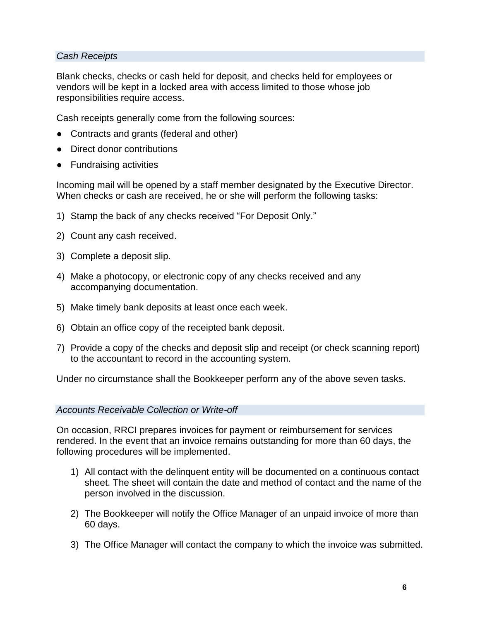#### <span id="page-8-0"></span>*Cash Receipts*

Blank checks, checks or cash held for deposit, and checks held for employees or vendors will be kept in a locked area with access limited to those whose job responsibilities require access.

Cash receipts generally come from the following sources:

- Contracts and grants (federal and other)
- Direct donor contributions
- Fundraising activities

Incoming mail will be opened by a staff member designated by the Executive Director. When checks or cash are received, he or she will perform the following tasks:

- 1) Stamp the back of any checks received "For Deposit Only."
- 2) Count any cash received.
- 3) Complete a deposit slip.
- 4) Make a photocopy, or electronic copy of any checks received and any accompanying documentation.
- 5) Make timely bank deposits at least once each week.
- 6) Obtain an office copy of the receipted bank deposit.
- 7) Provide a copy of the checks and deposit slip and receipt (or check scanning report) to the accountant to record in the accounting system.

Under no circumstance shall the Bookkeeper perform any of the above seven tasks.

#### <span id="page-8-1"></span>*Accounts Receivable Collection or Write-off*

On occasion, RRCI prepares invoices for payment or reimbursement for services rendered. In the event that an invoice remains outstanding for more than 60 days, the following procedures will be implemented.

- 1) All contact with the delinquent entity will be documented on a continuous contact sheet. The sheet will contain the date and method of contact and the name of the person involved in the discussion.
- 2) The Bookkeeper will notify the Office Manager of an unpaid invoice of more than 60 days.
- 3) The Office Manager will contact the company to which the invoice was submitted.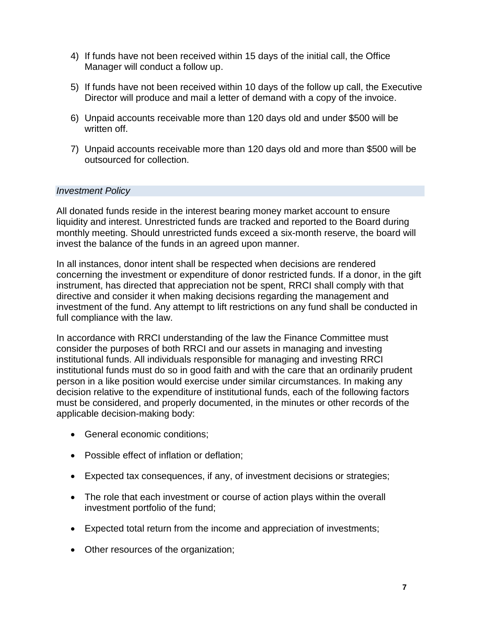- 4) If funds have not been received within 15 days of the initial call, the Office Manager will conduct a follow up.
- 5) If funds have not been received within 10 days of the follow up call, the Executive Director will produce and mail a letter of demand with a copy of the invoice.
- 6) Unpaid accounts receivable more than 120 days old and under \$500 will be written off.
- 7) Unpaid accounts receivable more than 120 days old and more than \$500 will be outsourced for collection.

#### <span id="page-9-0"></span>*Investment Policy*

All donated funds reside in the interest bearing money market account to ensure liquidity and interest. Unrestricted funds are tracked and reported to the Board during monthly meeting. Should unrestricted funds exceed a six-month reserve, the board will invest the balance of the funds in an agreed upon manner.

In all instances, donor intent shall be respected when decisions are rendered concerning the investment or expenditure of donor restricted funds. If a donor, in the gift instrument, has directed that appreciation not be spent, RRCI shall comply with that directive and consider it when making decisions regarding the management and investment of the fund. Any attempt to lift restrictions on any fund shall be conducted in full compliance with the law.

In accordance with RRCI understanding of the law the Finance Committee must consider the purposes of both RRCI and our assets in managing and investing institutional funds. All individuals responsible for managing and investing RRCI institutional funds must do so in good faith and with the care that an ordinarily prudent person in a like position would exercise under similar circumstances. In making any decision relative to the expenditure of institutional funds, each of the following factors must be considered, and properly documented, in the minutes or other records of the applicable decision-making body:

- General economic conditions;
- Possible effect of inflation or deflation;
- Expected tax consequences, if any, of investment decisions or strategies;
- The role that each investment or course of action plays within the overall investment portfolio of the fund;
- Expected total return from the income and appreciation of investments;
- Other resources of the organization;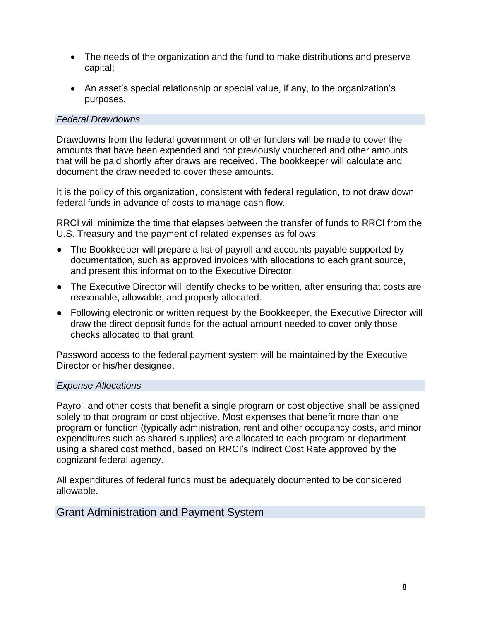- The needs of the organization and the fund to make distributions and preserve capital;
- An asset's special relationship or special value, if any, to the organization's purposes.

#### <span id="page-10-0"></span>*Federal Drawdowns*

Drawdowns from the federal government or other funders will be made to cover the amounts that have been expended and not previously vouchered and other amounts that will be paid shortly after draws are received. The bookkeeper will calculate and document the draw needed to cover these amounts.

It is the policy of this organization, consistent with federal regulation, to not draw down federal funds in advance of costs to manage cash flow.

RRCI will minimize the time that elapses between the transfer of funds to RRCI from the U.S. Treasury and the payment of related expenses as follows:

- The Bookkeeper will prepare a list of payroll and accounts payable supported by documentation, such as approved invoices with allocations to each grant source, and present this information to the Executive Director.
- The Executive Director will identify checks to be written, after ensuring that costs are reasonable, allowable, and properly allocated.
- Following electronic or written request by the Bookkeeper, the Executive Director will draw the direct deposit funds for the actual amount needed to cover only those checks allocated to that grant.

Password access to the federal payment system will be maintained by the Executive Director or his/her designee.

#### <span id="page-10-1"></span>*Expense Allocations*

Payroll and other costs that benefit a single program or cost objective shall be assigned solely to that program or cost objective. Most expenses that benefit more than one program or function (typically administration, rent and other occupancy costs, and minor expenditures such as shared supplies) are allocated to each program or department using a shared cost method, based on RRCI's Indirect Cost Rate approved by the cognizant federal agency.

All expenditures of federal funds must be adequately documented to be considered allowable.

# <span id="page-10-2"></span>Grant Administration and Payment System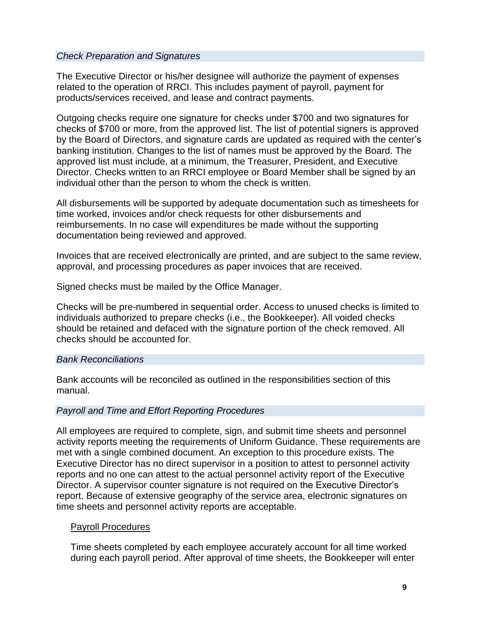#### <span id="page-11-0"></span>*Check Preparation and Signatures*

The Executive Director or his/her designee will authorize the payment of expenses related to the operation of RRCI. This includes payment of payroll, payment for products/services received, and lease and contract payments.

Outgoing checks require one signature for checks under \$700 and two signatures for checks of \$700 or more, from the approved list. The list of potential signers is approved by the Board of Directors, and signature cards are updated as required with the center's banking institution. Changes to the list of names must be approved by the Board. The approved list must include, at a minimum, the Treasurer, President, and Executive Director. Checks written to an RRCI employee or Board Member shall be signed by an individual other than the person to whom the check is written.

All disbursements will be supported by adequate documentation such as timesheets for time worked, invoices and/or check requests for other disbursements and reimbursements. In no case will expenditures be made without the supporting documentation being reviewed and approved.

Invoices that are received electronically are printed, and are subject to the same review, approval, and processing procedures as paper invoices that are received.

Signed checks must be mailed by the Office Manager.

Checks will be pre-numbered in sequential order. Access to unused checks is limited to individuals authorized to prepare checks (i.e., the Bookkeeper). All voided checks should be retained and defaced with the signature portion of the check removed. All checks should be accounted for.

#### <span id="page-11-1"></span>*Bank Reconciliations*

Bank accounts will be reconciled as outlined in the responsibilities section of this manual.

#### <span id="page-11-2"></span>*Payroll and Time and Effort Reporting Procedures*

All employees are required to complete, sign, and submit time sheets and personnel activity reports meeting the requirements of Uniform Guidance. These requirements are met with a single combined document. An exception to this procedure exists. The Executive Director has no direct supervisor in a position to attest to personnel activity reports and no one can attest to the actual personnel activity report of the Executive Director. A supervisor counter signature is not required on the Executive Director's report. Because of extensive geography of the service area, electronic signatures on time sheets and personnel activity reports are acceptable.

#### Payroll Procedures

Time sheets completed by each employee accurately account for all time worked during each payroll period. After approval of time sheets, the Bookkeeper will enter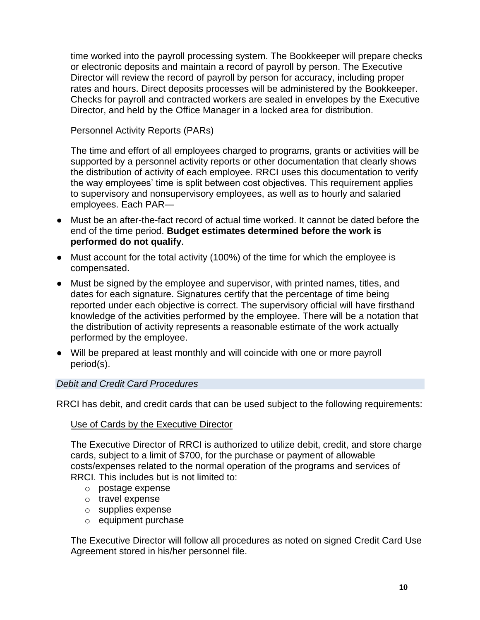time worked into the payroll processing system. The Bookkeeper will prepare checks or electronic deposits and maintain a record of payroll by person. The Executive Director will review the record of payroll by person for accuracy, including proper rates and hours. Direct deposits processes will be administered by the Bookkeeper. Checks for payroll and contracted workers are sealed in envelopes by the Executive Director, and held by the Office Manager in a locked area for distribution.

### Personnel Activity Reports (PARs)

The time and effort of all employees charged to programs, grants or activities will be supported by a personnel activity reports or other documentation that clearly shows the distribution of activity of each employee. RRCI uses this documentation to verify the way employees' time is split between cost objectives. This requirement applies to supervisory and nonsupervisory employees, as well as to hourly and salaried employees. Each PAR—

- Must be an after-the-fact record of actual time worked. It cannot be dated before the end of the time period. **Budget estimates determined before the work is performed do not qualify**.
- Must account for the total activity (100%) of the time for which the employee is compensated.
- Must be signed by the employee and supervisor, with printed names, titles, and dates for each signature. Signatures certify that the percentage of time being reported under each objective is correct. The supervisory official will have firsthand knowledge of the activities performed by the employee. There will be a notation that the distribution of activity represents a reasonable estimate of the work actually performed by the employee.
- Will be prepared at least monthly and will coincide with one or more payroll period(s).

# <span id="page-12-0"></span>*Debit and Credit Card Procedures*

RRCI has debit, and credit cards that can be used subject to the following requirements:

#### Use of Cards by the Executive Director

The Executive Director of RRCI is authorized to utilize debit, credit, and store charge cards, subject to a limit of \$700, for the purchase or payment of allowable costs/expenses related to the normal operation of the programs and services of RRCI. This includes but is not limited to:

- o postage expense
- o travel expense
- o supplies expense
- o equipment purchase

The Executive Director will follow all procedures as noted on signed Credit Card Use Agreement stored in his/her personnel file.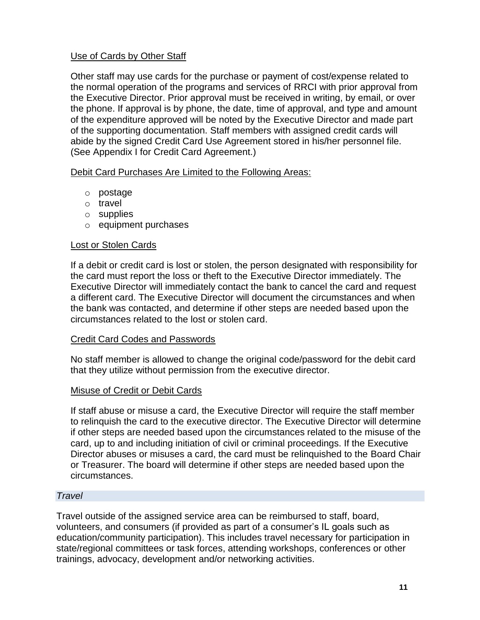#### Use of Cards by Other Staff

Other staff may use cards for the purchase or payment of cost/expense related to the normal operation of the programs and services of RRCI with prior approval from the Executive Director. Prior approval must be received in writing, by email, or over the phone. If approval is by phone, the date, time of approval, and type and amount of the expenditure approved will be noted by the Executive Director and made part of the supporting documentation. Staff members with assigned credit cards will abide by the signed Credit Card Use Agreement stored in his/her personnel file. (See Appendix I for Credit Card Agreement.)

Debit Card Purchases Are Limited to the Following Areas:

- o postage
- o travel
- o supplies
- o equipment purchases

#### Lost or Stolen Cards

If a debit or credit card is lost or stolen, the person designated with responsibility for the card must report the loss or theft to the Executive Director immediately. The Executive Director will immediately contact the bank to cancel the card and request a different card. The Executive Director will document the circumstances and when the bank was contacted, and determine if other steps are needed based upon the circumstances related to the lost or stolen card.

#### Credit Card Codes and Passwords

No staff member is allowed to change the original code/password for the debit card that they utilize without permission from the executive director.

#### Misuse of Credit or Debit Cards

If staff abuse or misuse a card, the Executive Director will require the staff member to relinquish the card to the executive director. The Executive Director will determine if other steps are needed based upon the circumstances related to the misuse of the card, up to and including initiation of civil or criminal proceedings. If the Executive Director abuses or misuses a card, the card must be relinquished to the Board Chair or Treasurer. The board will determine if other steps are needed based upon the circumstances.

#### <span id="page-13-0"></span>*Travel*

Travel outside of the assigned service area can be reimbursed to staff, board, volunteers, and consumers (if provided as part of a consumer's IL goals such as education/community participation). This includes travel necessary for participation in state/regional committees or task forces, attending workshops, conferences or other trainings, advocacy, development and/or networking activities.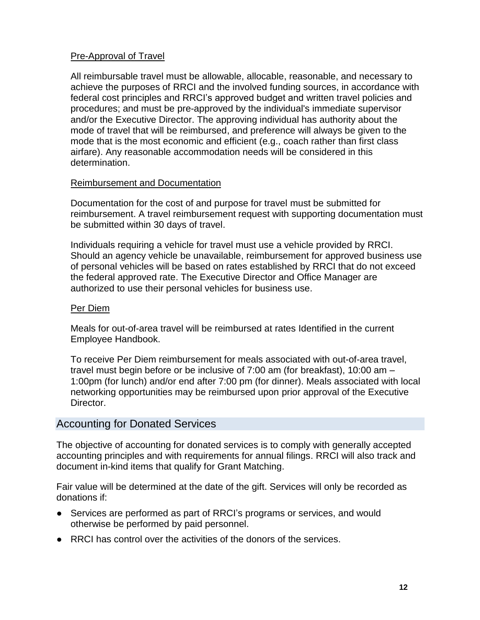#### Pre-Approval of Travel

All reimbursable travel must be allowable, allocable, reasonable, and necessary to achieve the purposes of RRCI and the involved funding sources, in accordance with federal cost principles and RRCI's approved budget and written travel policies and procedures; and must be pre-approved by the individual's immediate supervisor and/or the Executive Director. The approving individual has authority about the mode of travel that will be reimbursed, and preference will always be given to the mode that is the most economic and efficient (e.g., coach rather than first class airfare). Any reasonable accommodation needs will be considered in this determination.

#### Reimbursement and Documentation

Documentation for the cost of and purpose for travel must be submitted for reimbursement. A travel reimbursement request with supporting documentation must be submitted within 30 days of travel.

Individuals requiring a vehicle for travel must use a vehicle provided by RRCI. Should an agency vehicle be unavailable, reimbursement for approved business use of personal vehicles will be based on rates established by RRCI that do not exceed the federal approved rate. The Executive Director and Office Manager are authorized to use their personal vehicles for business use.

#### Per Diem

Meals for out-of-area travel will be reimbursed at rates Identified in the current Employee Handbook.

To receive Per Diem reimbursement for meals associated with out-of-area travel, travel must begin before or be inclusive of 7:00 am (for breakfast), 10:00 am – 1:00pm (for lunch) and/or end after 7:00 pm (for dinner). Meals associated with local networking opportunities may be reimbursed upon prior approval of the Executive Director.

# <span id="page-14-0"></span>Accounting for Donated Services

The objective of accounting for donated services is to comply with generally accepted accounting principles and with requirements for annual filings. RRCI will also track and document in-kind items that qualify for Grant Matching.

Fair value will be determined at the date of the gift. Services will only be recorded as donations if:

- Services are performed as part of RRCI's programs or services, and would otherwise be performed by paid personnel.
- RRCI has control over the activities of the donors of the services.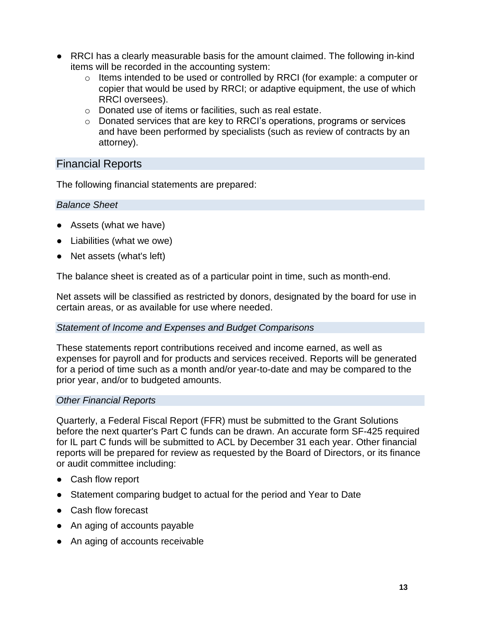- RRCI has a clearly measurable basis for the amount claimed. The following in-kind items will be recorded in the accounting system:
	- o Items intended to be used or controlled by RRCI (for example: a computer or copier that would be used by RRCI; or adaptive equipment, the use of which RRCI oversees).
	- o Donated use of items or facilities, such as real estate.
	- $\circ$  Donated services that are key to RRCI's operations, programs or services and have been performed by specialists (such as review of contracts by an attorney).

# <span id="page-15-0"></span>Financial Reports

The following financial statements are prepared:

#### <span id="page-15-1"></span>*Balance Sheet*

- Assets (what we have)
- Liabilities (what we owe)
- Net assets (what's left)

The balance sheet is created as of a particular point in time, such as month-end.

Net assets will be classified as restricted by donors, designated by the board for use in certain areas, or as available for use where needed.

#### <span id="page-15-2"></span>*Statement of Income and Expenses and Budget Comparisons*

These statements report contributions received and income earned, as well as expenses for payroll and for products and services received. Reports will be generated for a period of time such as a month and/or year-to-date and may be compared to the prior year, and/or to budgeted amounts.

#### <span id="page-15-3"></span>*Other Financial Reports*

Quarterly, a Federal Fiscal Report (FFR) must be submitted to the Grant Solutions before the next quarter's Part C funds can be drawn. An accurate form SF-425 required for IL part C funds will be submitted to ACL by December 31 each year. Other financial reports will be prepared for review as requested by the Board of Directors, or its finance or audit committee including:

- Cash flow report
- Statement comparing budget to actual for the period and Year to Date
- Cash flow forecast
- An aging of accounts payable
- An aging of accounts receivable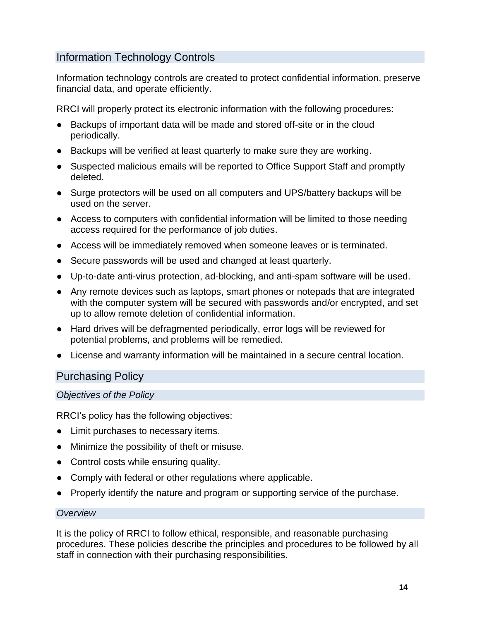# <span id="page-16-0"></span>Information Technology Controls

Information technology controls are created to protect confidential information, preserve financial data, and operate efficiently.

RRCI will properly protect its electronic information with the following procedures:

- Backups of important data will be made and stored off-site or in the cloud periodically.
- Backups will be verified at least quarterly to make sure they are working.
- Suspected malicious emails will be reported to Office Support Staff and promptly deleted.
- Surge protectors will be used on all computers and UPS/battery backups will be used on the server.
- Access to computers with confidential information will be limited to those needing access required for the performance of job duties.
- Access will be immediately removed when someone leaves or is terminated.
- Secure passwords will be used and changed at least quarterly.
- Up-to-date anti-virus protection, ad-blocking, and anti-spam software will be used.
- Any remote devices such as laptops, smart phones or notepads that are integrated with the computer system will be secured with passwords and/or encrypted, and set up to allow remote deletion of confidential information.
- Hard drives will be defragmented periodically, error logs will be reviewed for potential problems, and problems will be remedied.
- <span id="page-16-1"></span>● License and warranty information will be maintained in a secure central location.

# Purchasing Policy

# <span id="page-16-2"></span>*Objectives of the Policy*

RRCI's policy has the following objectives:

- Limit purchases to necessary items.
- Minimize the possibility of theft or misuse.
- Control costs while ensuring quality.
- Comply with federal or other regulations where applicable.
- Properly identify the nature and program or supporting service of the purchase.

#### <span id="page-16-3"></span>*Overview*

It is the policy of RRCI to follow ethical, responsible, and reasonable purchasing procedures. These policies describe the principles and procedures to be followed by all staff in connection with their purchasing responsibilities.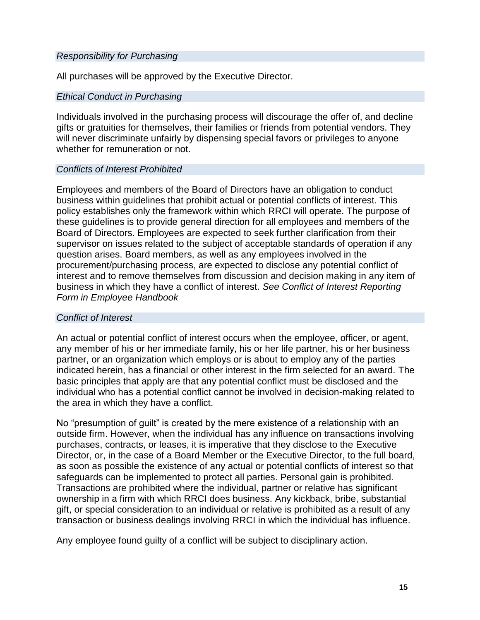#### <span id="page-17-0"></span>*Responsibility for Purchasing*

All purchases will be approved by the Executive Director.

#### <span id="page-17-1"></span>*Ethical Conduct in Purchasing*

Individuals involved in the purchasing process will discourage the offer of, and decline gifts or gratuities for themselves, their families or friends from potential vendors. They will never discriminate unfairly by dispensing special favors or privileges to anyone whether for remuneration or not.

#### <span id="page-17-2"></span>*Conflicts of Interest Prohibited*

Employees and members of the Board of Directors have an obligation to conduct business within guidelines that prohibit actual or potential conflicts of interest. This policy establishes only the framework within which RRCI will operate. The purpose of these guidelines is to provide general direction for all employees and members of the Board of Directors. Employees are expected to seek further clarification from their supervisor on issues related to the subject of acceptable standards of operation if any question arises. Board members, as well as any employees involved in the procurement/purchasing process, are expected to disclose any potential conflict of interest and to remove themselves from discussion and decision making in any item of business in which they have a conflict of interest. *See Conflict of Interest Reporting Form in Employee Handbook*

#### <span id="page-17-3"></span>*Conflict of Interest*

An actual or potential conflict of interest occurs when the employee, officer, or agent, any member of his or her immediate family, his or her life partner, his or her business partner, or an organization which employs or is about to employ any of the parties indicated herein, has a financial or other interest in the firm selected for an award. The basic principles that apply are that any potential conflict must be disclosed and the individual who has a potential conflict cannot be involved in decision-making related to the area in which they have a conflict.

No "presumption of guilt" is created by the mere existence of a relationship with an outside firm. However, when the individual has any influence on transactions involving purchases, contracts, or leases, it is imperative that they disclose to the Executive Director, or, in the case of a Board Member or the Executive Director, to the full board, as soon as possible the existence of any actual or potential conflicts of interest so that safeguards can be implemented to protect all parties. Personal gain is prohibited. Transactions are prohibited where the individual, partner or relative has significant ownership in a firm with which RRCI does business. Any kickback, bribe, substantial gift, or special consideration to an individual or relative is prohibited as a result of any transaction or business dealings involving RRCI in which the individual has influence.

Any employee found guilty of a conflict will be subject to disciplinary action.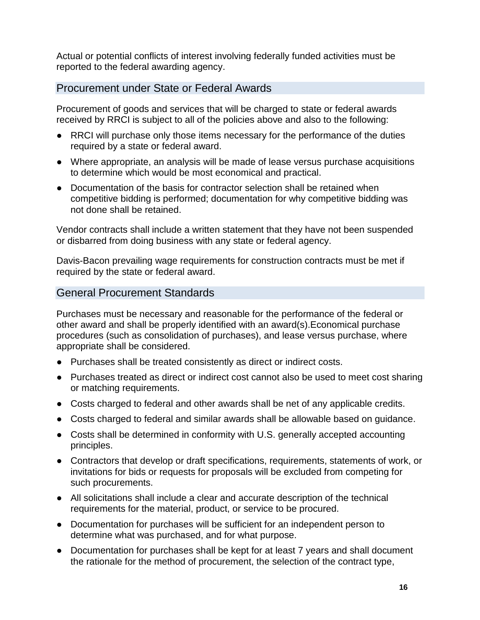Actual or potential conflicts of interest involving federally funded activities must be reported to the federal awarding agency.

# <span id="page-18-0"></span>Procurement under State or Federal Awards

Procurement of goods and services that will be charged to state or federal awards received by RRCI is subject to all of the policies above and also to the following:

- RRCI will purchase only those items necessary for the performance of the duties required by a state or federal award.
- Where appropriate, an analysis will be made of lease versus purchase acquisitions to determine which would be most economical and practical.
- Documentation of the basis for contractor selection shall be retained when competitive bidding is performed; documentation for why competitive bidding was not done shall be retained.

Vendor contracts shall include a written statement that they have not been suspended or disbarred from doing business with any state or federal agency.

Davis-Bacon prevailing wage requirements for construction contracts must be met if required by the state or federal award.

# <span id="page-18-1"></span>General Procurement Standards

Purchases must be necessary and reasonable for the performance of the federal or other award and shall be properly identified with an award(s).Economical purchase procedures (such as consolidation of purchases), and lease versus purchase, where appropriate shall be considered.

- Purchases shall be treated consistently as direct or indirect costs.
- Purchases treated as direct or indirect cost cannot also be used to meet cost sharing or matching requirements.
- Costs charged to federal and other awards shall be net of any applicable credits.
- Costs charged to federal and similar awards shall be allowable based on guidance.
- Costs shall be determined in conformity with U.S. generally accepted accounting principles.
- Contractors that develop or draft specifications, requirements, statements of work, or invitations for bids or requests for proposals will be excluded from competing for such procurements.
- All solicitations shall include a clear and accurate description of the technical requirements for the material, product, or service to be procured.
- Documentation for purchases will be sufficient for an independent person to determine what was purchased, and for what purpose.
- Documentation for purchases shall be kept for at least 7 years and shall document the rationale for the method of procurement, the selection of the contract type,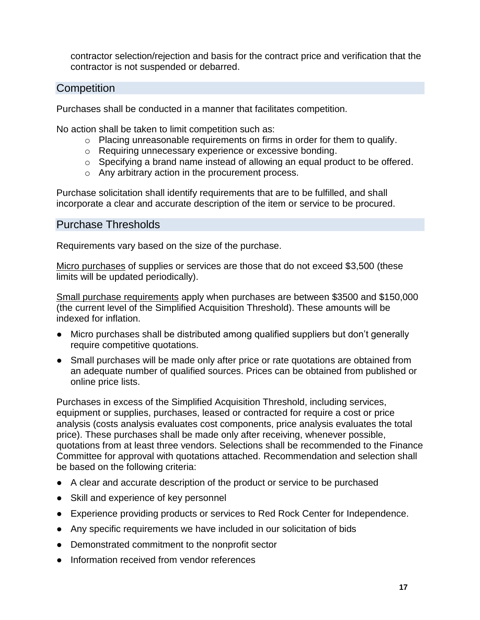contractor selection/rejection and basis for the contract price and verification that the contractor is not suspended or debarred.

# <span id="page-19-0"></span>**Competition**

Purchases shall be conducted in a manner that facilitates competition.

No action shall be taken to limit competition such as:

- o Placing unreasonable requirements on firms in order for them to qualify.
- o Requiring unnecessary experience or excessive bonding.
- o Specifying a brand name instead of allowing an equal product to be offered.
- o Any arbitrary action in the procurement process.

Purchase solicitation shall identify requirements that are to be fulfilled, and shall incorporate a clear and accurate description of the item or service to be procured.

# <span id="page-19-1"></span>Purchase Thresholds

Requirements vary based on the size of the purchase.

Micro purchases of supplies or services are those that do not exceed \$3,500 (these limits will be updated periodically).

Small purchase requirements apply when purchases are between \$3500 and \$150,000 (the current level of the Simplified Acquisition Threshold). These amounts will be indexed for inflation.

- Micro purchases shall be distributed among qualified suppliers but don't generally require competitive quotations.
- Small purchases will be made only after price or rate quotations are obtained from an adequate number of qualified sources. Prices can be obtained from published or online price lists.

Purchases in excess of the Simplified Acquisition Threshold, including services, equipment or supplies, purchases, leased or contracted for require a cost or price analysis (costs analysis evaluates cost components, price analysis evaluates the total price). These purchases shall be made only after receiving, whenever possible, quotations from at least three vendors. Selections shall be recommended to the Finance Committee for approval with quotations attached. Recommendation and selection shall be based on the following criteria:

- A clear and accurate description of the product or service to be purchased
- Skill and experience of key personnel
- Experience providing products or services to Red Rock Center for Independence.
- Any specific requirements we have included in our solicitation of bids
- Demonstrated commitment to the nonprofit sector
- Information received from vendor references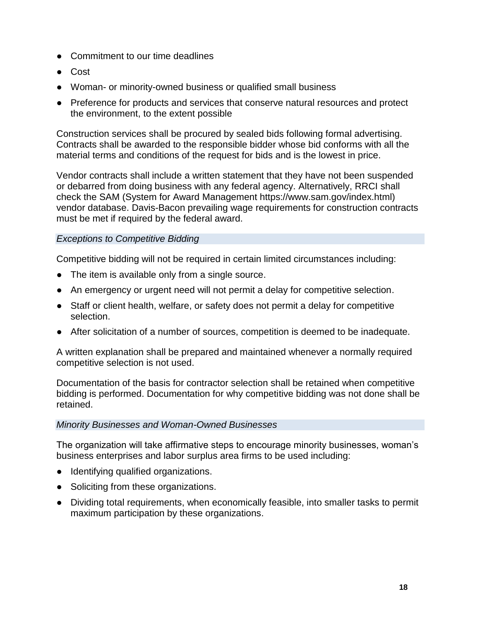- Commitment to our time deadlines
- Cost
- Woman- or minority-owned business or qualified small business
- Preference for products and services that conserve natural resources and protect the environment, to the extent possible

Construction services shall be procured by sealed bids following formal advertising. Contracts shall be awarded to the responsible bidder whose bid conforms with all the material terms and conditions of the request for bids and is the lowest in price.

Vendor contracts shall include a written statement that they have not been suspended or debarred from doing business with any federal agency. Alternatively, RRCI shall check the SAM (System for Award Management https://www.sam.gov/index.html) vendor database. Davis-Bacon prevailing wage requirements for construction contracts must be met if required by the federal award.

#### <span id="page-20-0"></span>*Exceptions to Competitive Bidding*

Competitive bidding will not be required in certain limited circumstances including:

- The item is available only from a single source.
- An emergency or urgent need will not permit a delay for competitive selection.
- Staff or client health, welfare, or safety does not permit a delay for competitive selection.
- After solicitation of a number of sources, competition is deemed to be inadequate.

A written explanation shall be prepared and maintained whenever a normally required competitive selection is not used.

Documentation of the basis for contractor selection shall be retained when competitive bidding is performed. Documentation for why competitive bidding was not done shall be retained.

#### <span id="page-20-1"></span>*Minority Businesses and Woman-Owned Businesses*

The organization will take affirmative steps to encourage minority businesses, woman's business enterprises and labor surplus area firms to be used including:

- Identifying qualified organizations.
- Soliciting from these organizations.
- Dividing total requirements, when economically feasible, into smaller tasks to permit maximum participation by these organizations.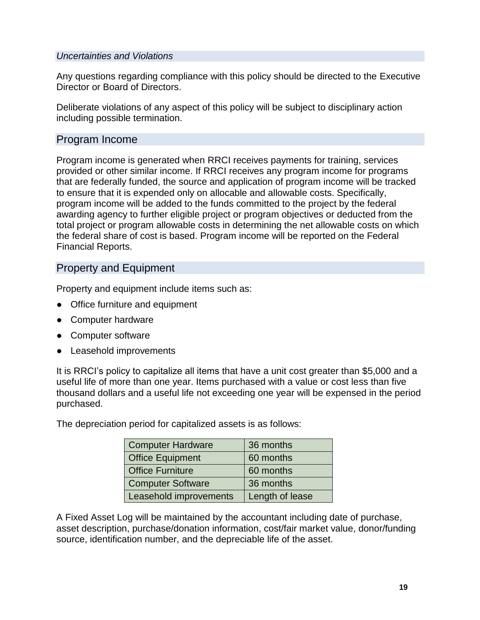#### <span id="page-21-0"></span>*Uncertainties and Violations*

Any questions regarding compliance with this policy should be directed to the Executive Director or Board of Directors.

Deliberate violations of any aspect of this policy will be subject to disciplinary action including possible termination.

# <span id="page-21-1"></span>Program Income

Program income is generated when RRCI receives payments for training, services provided or other similar income. If RRCI receives any program income for programs that are federally funded, the source and application of program income will be tracked to ensure that it is expended only on allocable and allowable costs. Specifically, program income will be added to the funds committed to the project by the federal awarding agency to further eligible project or program objectives or deducted from the total project or program allowable costs in determining the net allowable costs on which the federal share of cost is based. Program income will be reported on the Federal Financial Reports.

# <span id="page-21-2"></span>Property and Equipment

Property and equipment include items such as:

- Office furniture and equipment
- Computer hardware
- Computer software
- Leasehold improvements

It is RRCI's policy to capitalize all items that have a unit cost greater than \$5,000 and a useful life of more than one year. Items purchased with a value or cost less than five thousand dollars and a useful life not exceeding one year will be expensed in the period purchased.

The depreciation period for capitalized assets is as follows:

| <b>Computer Hardware</b> | 36 months       |
|--------------------------|-----------------|
| <b>Office Equipment</b>  | 60 months       |
| <b>Office Furniture</b>  | 60 months       |
| <b>Computer Software</b> | 36 months       |
| Leasehold improvements   | Length of lease |

A Fixed Asset Log will be maintained by the accountant including date of purchase, asset description, purchase/donation information, cost/fair market value, donor/funding source, identification number, and the depreciable life of the asset.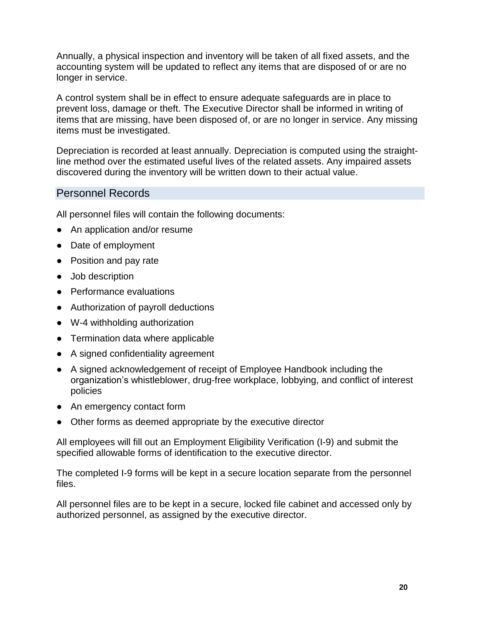Annually, a physical inspection and inventory will be taken of all fixed assets, and the accounting system will be updated to reflect any items that are disposed of or are no longer in service.

A control system shall be in effect to ensure adequate safeguards are in place to prevent loss, damage or theft. The Executive Director shall be informed in writing of items that are missing, have been disposed of, or are no longer in service. Any missing items must be investigated.

Depreciation is recorded at least annually. Depreciation is computed using the straightline method over the estimated useful lives of the related assets. Any impaired assets discovered during the inventory will be written down to their actual value.

# <span id="page-22-0"></span>Personnel Records

All personnel files will contain the following documents:

- An application and/or resume
- Date of employment
- Position and pay rate
- Job description
- Performance evaluations
- Authorization of payroll deductions
- W-4 withholding authorization
- Termination data where applicable
- A signed confidentiality agreement
- A signed acknowledgement of receipt of Employee Handbook including the organization's whistleblower, drug-free workplace, lobbying, and conflict of interest policies
- An emergency contact form
- Other forms as deemed appropriate by the executive director

All employees will fill out an Employment Eligibility Verification (I-9) and submit the specified allowable forms of identification to the executive director.

The completed I-9 forms will be kept in a secure location separate from the personnel files.

All personnel files are to be kept in a secure, locked file cabinet and accessed only by authorized personnel, as assigned by the executive director.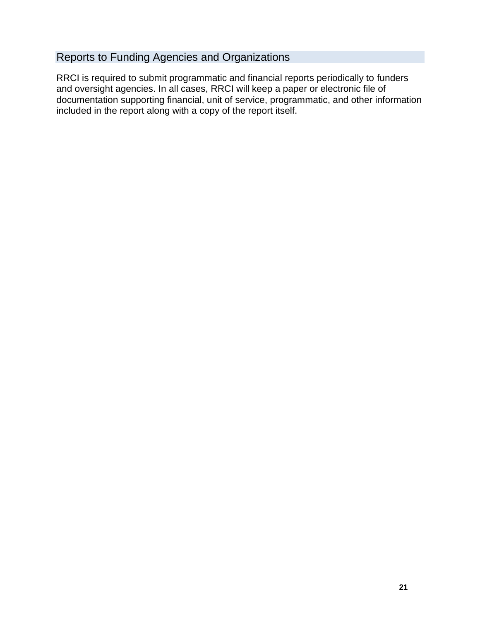# <span id="page-23-0"></span>Reports to Funding Agencies and Organizations

RRCI is required to submit programmatic and financial reports periodically to funders and oversight agencies. In all cases, RRCI will keep a paper or electronic file of documentation supporting financial, unit of service, programmatic, and other information included in the report along with a copy of the report itself.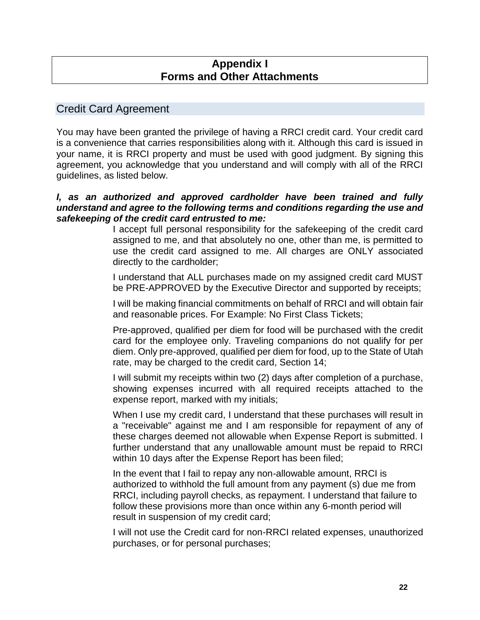# **Appendix I Forms and Other Attachments**

# <span id="page-24-1"></span><span id="page-24-0"></span>Credit Card Agreement

You may have been granted the privilege of having a RRCI credit card. Your credit card is a convenience that carries responsibilities along with it. Although this card is issued in your name, it is RRCI property and must be used with good judgment. By signing this agreement, you acknowledge that you understand and will comply with all of the RRCI guidelines, as listed below.

#### *I, as an authorized and approved cardholder have been trained and fully understand and agree to the following terms and conditions regarding the use and safekeeping of the credit card entrusted to me:*

I accept full personal responsibility for the safekeeping of the credit card assigned to me, and that absolutely no one, other than me, is permitted to use the credit card assigned to me. All charges are ONLY associated directly to the cardholder;

I understand that ALL purchases made on my assigned credit card MUST be PRE-APPROVED by the Executive Director and supported by receipts;

I will be making financial commitments on behalf of RRCI and will obtain fair and reasonable prices. For Example: No First Class Tickets;

Pre-approved, qualified per diem for food will be purchased with the credit card for the employee only. Traveling companions do not qualify for per diem. Only pre-approved, qualified per diem for food, up to the State of Utah rate, may be charged to the credit card, Section 14;

I will submit my receipts within two (2) days after completion of a purchase, showing expenses incurred with all required receipts attached to the expense report, marked with my initials;

When I use my credit card, I understand that these purchases will result in a "receivable" against me and I am responsible for repayment of any of these charges deemed not allowable when Expense Report is submitted. I further understand that any unallowable amount must be repaid to RRCI within 10 days after the Expense Report has been filed;

In the event that I fail to repay any non-allowable amount, RRCI is authorized to withhold the full amount from any payment (s) due me from RRCI, including payroll checks, as repayment. I understand that failure to follow these provisions more than once within any 6-month period will result in suspension of my credit card;

I will not use the Credit card for non-RRCI related expenses, unauthorized purchases, or for personal purchases;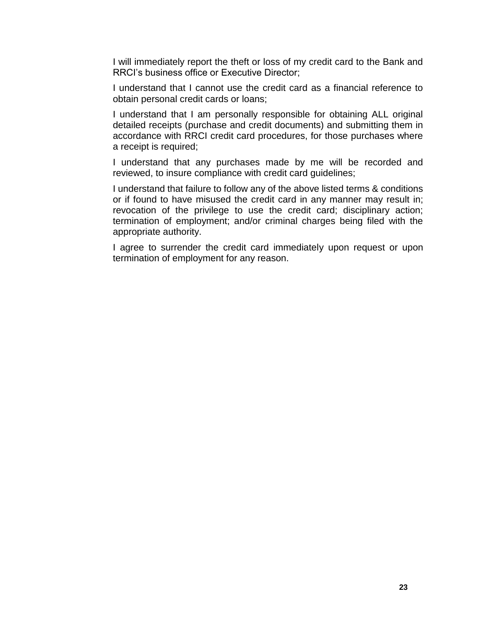I will immediately report the theft or loss of my credit card to the Bank and RRCI's business office or Executive Director;

I understand that I cannot use the credit card as a financial reference to obtain personal credit cards or loans;

I understand that I am personally responsible for obtaining ALL original detailed receipts (purchase and credit documents) and submitting them in accordance with RRCI credit card procedures, for those purchases where a receipt is required;

I understand that any purchases made by me will be recorded and reviewed, to insure compliance with credit card guidelines;

I understand that failure to follow any of the above listed terms & conditions or if found to have misused the credit card in any manner may result in; revocation of the privilege to use the credit card; disciplinary action; termination of employment; and/or criminal charges being filed with the appropriate authority.

I agree to surrender the credit card immediately upon request or upon termination of employment for any reason.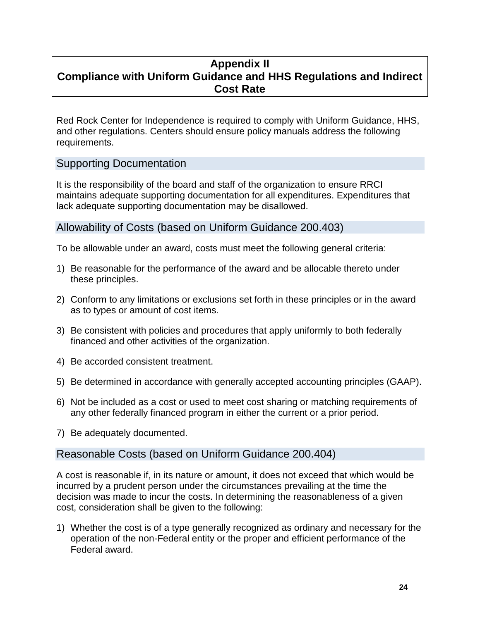# <span id="page-26-0"></span>**Appendix II Compliance with Uniform Guidance and HHS Regulations and Indirect Cost Rate**

Red Rock Center for Independence is required to comply with Uniform Guidance, HHS, and other regulations. Centers should ensure policy manuals address the following requirements.

# <span id="page-26-1"></span>Supporting Documentation

It is the responsibility of the board and staff of the organization to ensure RRCI maintains adequate supporting documentation for all expenditures. Expenditures that lack adequate supporting documentation may be disallowed.

# <span id="page-26-2"></span>Allowability of Costs (based on Uniform Guidance 200.403)

To be allowable under an award, costs must meet the following general criteria:

- 1) Be reasonable for the performance of the award and be allocable thereto under these principles.
- 2) Conform to any limitations or exclusions set forth in these principles or in the award as to types or amount of cost items.
- 3) Be consistent with policies and procedures that apply uniformly to both federally financed and other activities of the organization.
- 4) Be accorded consistent treatment.
- 5) Be determined in accordance with generally accepted accounting principles (GAAP).
- 6) Not be included as a cost or used to meet cost sharing or matching requirements of any other federally financed program in either the current or a prior period.
- <span id="page-26-3"></span>7) Be adequately documented.

#### Reasonable Costs (based on Uniform Guidance 200.404)

A cost is reasonable if, in its nature or amount, it does not exceed that which would be incurred by a prudent person under the circumstances prevailing at the time the decision was made to incur the costs. In determining the reasonableness of a given cost, consideration shall be given to the following:

1) Whether the cost is of a type generally recognized as ordinary and necessary for the operation of the non-Federal entity or the proper and efficient performance of the Federal award.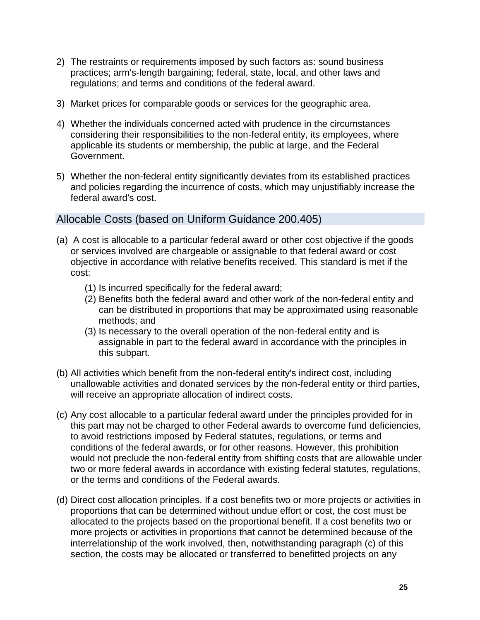- 2) The restraints or requirements imposed by such factors as: sound business practices; arm's-length bargaining; federal, state, local, and other laws and regulations; and terms and conditions of the federal award.
- 3) Market prices for comparable goods or services for the geographic area.
- 4) Whether the individuals concerned acted with prudence in the circumstances considering their responsibilities to the non-federal entity, its employees, where applicable its students or membership, the public at large, and the Federal Government.
- 5) Whether the non-federal entity significantly deviates from its established practices and policies regarding the incurrence of costs, which may unjustifiably increase the federal award's cost.

# <span id="page-27-0"></span>Allocable Costs (based on Uniform Guidance 200.405)

- (a) A cost is allocable to a particular federal award or other cost objective if the goods or services involved are chargeable or assignable to that federal award or cost objective in accordance with relative benefits received. This standard is met if the cost:
	- (1) Is incurred specifically for the federal award;
	- (2) Benefits both the federal award and other work of the non-federal entity and can be distributed in proportions that may be approximated using reasonable methods; and
	- (3) Is necessary to the overall operation of the non-federal entity and is assignable in part to the federal award in accordance with the principles in this subpart.
- (b) All activities which benefit from the non-federal entity's indirect cost, including unallowable activities and donated services by the non-federal entity or third parties, will receive an appropriate allocation of indirect costs.
- (c) Any cost allocable to a particular federal award under the principles provided for in this part may not be charged to other Federal awards to overcome fund deficiencies, to avoid restrictions imposed by Federal statutes, regulations, or terms and conditions of the federal awards, or for other reasons. However, this prohibition would not preclude the non-federal entity from shifting costs that are allowable under two or more federal awards in accordance with existing federal statutes, regulations, or the terms and conditions of the Federal awards.
- (d) Direct cost allocation principles. If a cost benefits two or more projects or activities in proportions that can be determined without undue effort or cost, the cost must be allocated to the projects based on the proportional benefit. If a cost benefits two or more projects or activities in proportions that cannot be determined because of the interrelationship of the work involved, then, notwithstanding paragraph (c) of this section, the costs may be allocated or transferred to benefitted projects on any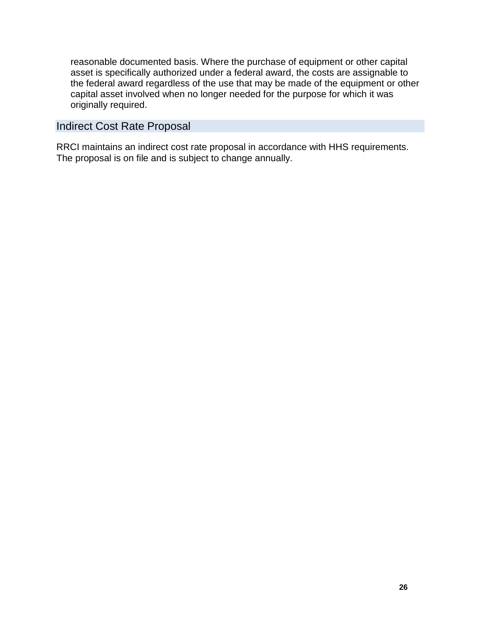reasonable documented basis. Where the purchase of equipment or other capital asset is specifically authorized under a federal award, the costs are assignable to the federal award regardless of the use that may be made of the equipment or other capital asset involved when no longer needed for the purpose for which it was originally required.

# <span id="page-28-0"></span>Indirect Cost Rate Proposal

RRCI maintains an indirect cost rate proposal in accordance with HHS requirements. The proposal is on file and is subject to change annually.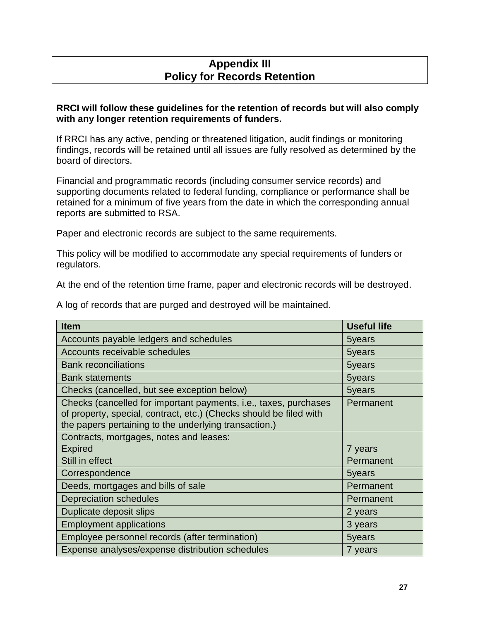# **Appendix III Policy for Records Retention**

#### <span id="page-29-0"></span>**RRCI will follow these guidelines for the retention of records but will also comply with any longer retention requirements of funders.**

If RRCI has any active, pending or threatened litigation, audit findings or monitoring findings, records will be retained until all issues are fully resolved as determined by the board of directors.

Financial and programmatic records (including consumer service records) and supporting documents related to federal funding, compliance or performance shall be retained for a minimum of five years from the date in which the corresponding annual reports are submitted to RSA.

Paper and electronic records are subject to the same requirements.

This policy will be modified to accommodate any special requirements of funders or regulators.

At the end of the retention time frame, paper and electronic records will be destroyed.

A log of records that are purged and destroyed will be maintained.

| <b>Item</b>                                                                                                                                                                                     | <b>Useful life</b> |
|-------------------------------------------------------------------------------------------------------------------------------------------------------------------------------------------------|--------------------|
| Accounts payable ledgers and schedules                                                                                                                                                          | 5years             |
| Accounts receivable schedules                                                                                                                                                                   | 5years             |
| <b>Bank reconciliations</b>                                                                                                                                                                     | 5years             |
| <b>Bank statements</b>                                                                                                                                                                          | 5years             |
| Checks (cancelled, but see exception below)                                                                                                                                                     | 5years             |
| Checks (cancelled for important payments, i.e., taxes, purchases<br>of property, special, contract, etc.) (Checks should be filed with<br>the papers pertaining to the underlying transaction.) | Permanent          |
| Contracts, mortgages, notes and leases:                                                                                                                                                         |                    |
| <b>Expired</b>                                                                                                                                                                                  | 7 years            |
| Still in effect                                                                                                                                                                                 | Permanent          |
| Correspondence                                                                                                                                                                                  | 5years             |
| Deeds, mortgages and bills of sale                                                                                                                                                              | Permanent          |
| <b>Depreciation schedules</b>                                                                                                                                                                   | Permanent          |
| Duplicate deposit slips                                                                                                                                                                         | 2 years            |
| <b>Employment applications</b>                                                                                                                                                                  | 3 years            |
| Employee personnel records (after termination)                                                                                                                                                  | 5years             |
| Expense analyses/expense distribution schedules                                                                                                                                                 | 7 years            |